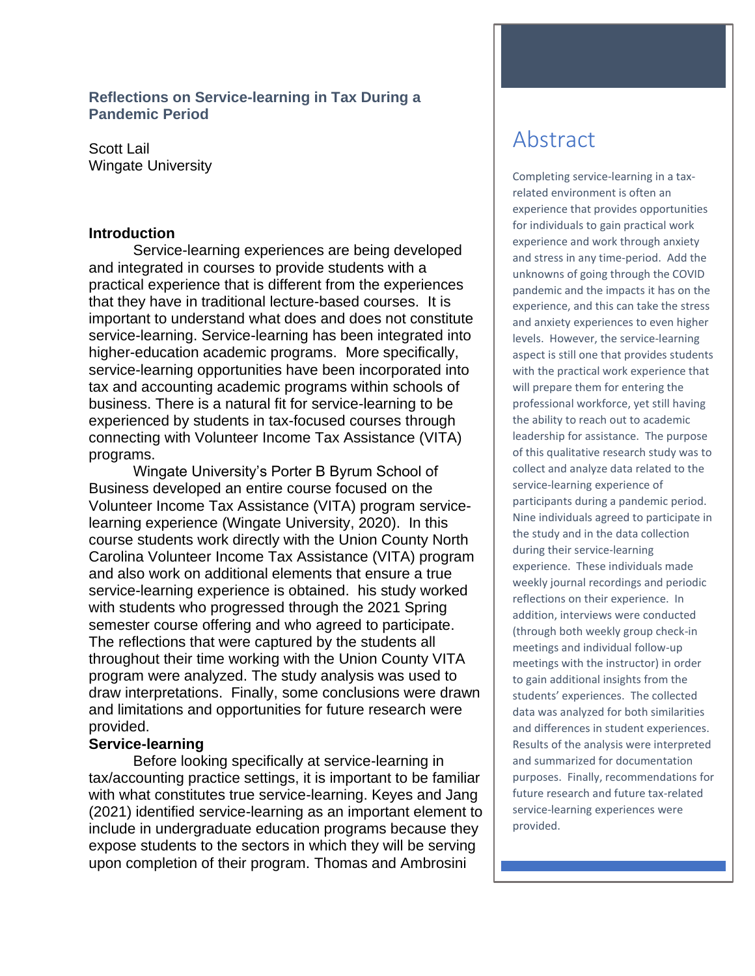# **Reflections on Service-learning in Tax During a Pandemic Period**

Scott Lail Wingate University

#### **Introduction**

Service-learning experiences are being developed and integrated in courses to provide students with a practical experience that is different from the experiences that they have in traditional lecture-based courses. It is important to understand what does and does not constitute service-learning. Service-learning has been integrated into higher-education academic programs. More specifically, service-learning opportunities have been incorporated into tax and accounting academic programs within schools of business. There is a natural fit for service-learning to be experienced by students in tax-focused courses through connecting with Volunteer Income Tax Assistance (VITA) programs.

Wingate University's Porter B Byrum School of Business developed an entire course focused on the Volunteer Income Tax Assistance (VITA) program servicelearning experience (Wingate University, 2020). In this course students work directly with the Union County North Carolina Volunteer Income Tax Assistance (VITA) program and also work on additional elements that ensure a true service-learning experience is obtained. his study worked with students who progressed through the 2021 Spring semester course offering and who agreed to participate. The reflections that were captured by the students all throughout their time working with the Union County VITA program were analyzed. The study analysis was used to draw interpretations. Finally, some conclusions were drawn and limitations and opportunities for future research were provided.

# **Service-learning**

Before looking specifically at service-learning in tax/accounting practice settings, it is important to be familiar with what constitutes true service-learning. Keyes and Jang (2021) identified service-learning as an important element to include in undergraduate education programs because they expose students to the sectors in which they will be serving upon completion of their program. Thomas and Ambrosini

# Abstract

Completing service-learning in a taxrelated environment is often an experience that provides opportunities for individuals to gain practical work experience and work through anxiety and stress in any time-period. Add the unknowns of going through the COVID pandemic and the impacts it has on the experience, and this can take the stress and anxiety experiences to even higher levels. However, the service-learning aspect is still one that provides students with the practical work experience that will prepare them for entering the professional workforce, yet still having the ability to reach out to academic leadership for assistance. The purpose of this qualitative research study was to collect and analyze data related to the service-learning experience of participants during a pandemic period. Nine individuals agreed to participate in the study and in the data collection during their service-learning experience. These individuals made weekly journal recordings and periodic reflections on their experience. In addition, interviews were conducted (through both weekly group check-in meetings and individual follow-up meetings with the instructor) in order to gain additional insights from the students' experiences. The collected data was analyzed for both similarities and differences in student experiences. Results of the analysis were interpreted and summarized for documentation purposes. Finally, recommendations for future research and future tax-related service-learning experiences were provided.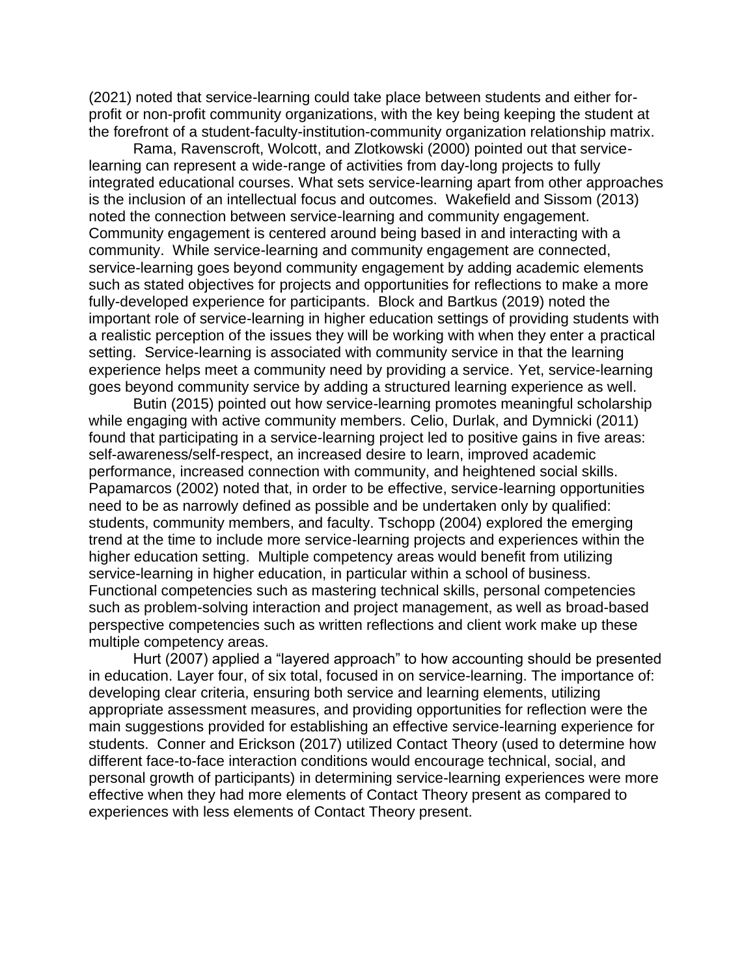(2021) noted that service-learning could take place between students and either forprofit or non-profit community organizations, with the key being keeping the student at the forefront of a student-faculty-institution-community organization relationship matrix.

Rama, Ravenscroft, Wolcott, and Zlotkowski (2000) pointed out that servicelearning can represent a wide-range of activities from day-long projects to fully integrated educational courses. What sets service-learning apart from other approaches is the inclusion of an intellectual focus and outcomes. Wakefield and Sissom (2013) noted the connection between service-learning and community engagement. Community engagement is centered around being based in and interacting with a community. While service-learning and community engagement are connected, service-learning goes beyond community engagement by adding academic elements such as stated objectives for projects and opportunities for reflections to make a more fully-developed experience for participants. Block and Bartkus (2019) noted the important role of service-learning in higher education settings of providing students with a realistic perception of the issues they will be working with when they enter a practical setting. Service-learning is associated with community service in that the learning experience helps meet a community need by providing a service. Yet, service-learning goes beyond community service by adding a structured learning experience as well.

Butin (2015) pointed out how service-learning promotes meaningful scholarship while engaging with active community members. Celio, Durlak, and Dymnicki (2011) found that participating in a service-learning project led to positive gains in five areas: self-awareness/self-respect, an increased desire to learn, improved academic performance, increased connection with community, and heightened social skills. Papamarcos (2002) noted that, in order to be effective, service-learning opportunities need to be as narrowly defined as possible and be undertaken only by qualified: students, community members, and faculty. Tschopp (2004) explored the emerging trend at the time to include more service-learning projects and experiences within the higher education setting. Multiple competency areas would benefit from utilizing service-learning in higher education, in particular within a school of business. Functional competencies such as mastering technical skills, personal competencies such as problem-solving interaction and project management, as well as broad-based perspective competencies such as written reflections and client work make up these multiple competency areas.

Hurt (2007) applied a "layered approach" to how accounting should be presented in education. Layer four, of six total, focused in on service-learning. The importance of: developing clear criteria, ensuring both service and learning elements, utilizing appropriate assessment measures, and providing opportunities for reflection were the main suggestions provided for establishing an effective service-learning experience for students. Conner and Erickson (2017) utilized Contact Theory (used to determine how different face-to-face interaction conditions would encourage technical, social, and personal growth of participants) in determining service-learning experiences were more effective when they had more elements of Contact Theory present as compared to experiences with less elements of Contact Theory present.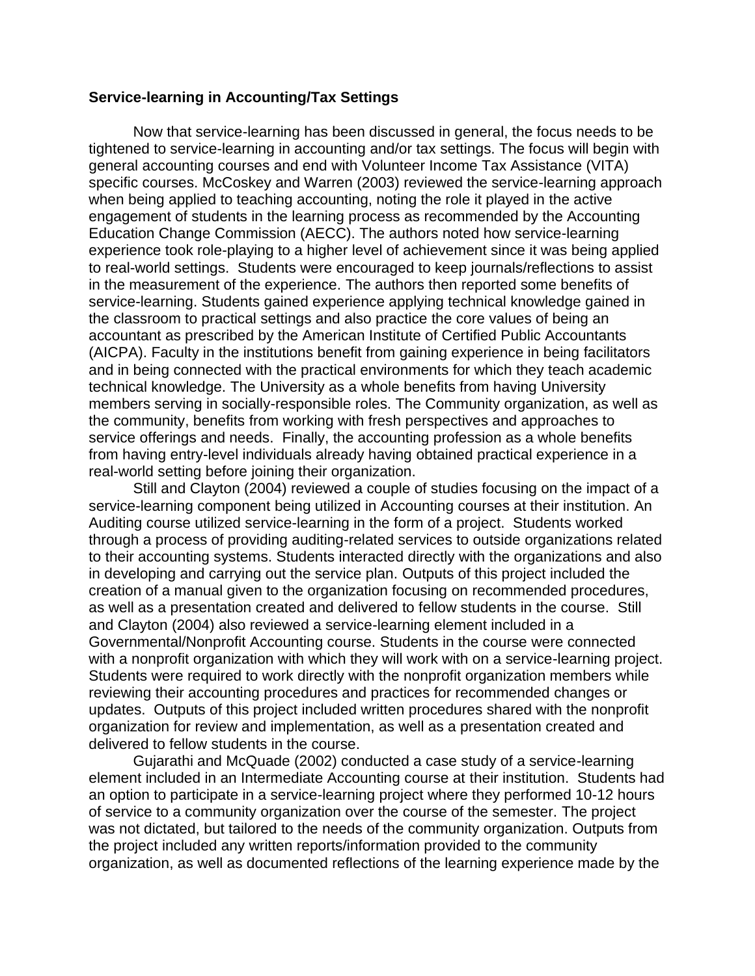#### **Service-learning in Accounting/Tax Settings**

Now that service-learning has been discussed in general, the focus needs to be tightened to service-learning in accounting and/or tax settings. The focus will begin with general accounting courses and end with Volunteer Income Tax Assistance (VITA) specific courses. McCoskey and Warren (2003) reviewed the service-learning approach when being applied to teaching accounting, noting the role it played in the active engagement of students in the learning process as recommended by the Accounting Education Change Commission (AECC). The authors noted how service-learning experience took role-playing to a higher level of achievement since it was being applied to real-world settings. Students were encouraged to keep journals/reflections to assist in the measurement of the experience. The authors then reported some benefits of service-learning. Students gained experience applying technical knowledge gained in the classroom to practical settings and also practice the core values of being an accountant as prescribed by the American Institute of Certified Public Accountants (AICPA). Faculty in the institutions benefit from gaining experience in being facilitators and in being connected with the practical environments for which they teach academic technical knowledge. The University as a whole benefits from having University members serving in socially-responsible roles. The Community organization, as well as the community, benefits from working with fresh perspectives and approaches to service offerings and needs. Finally, the accounting profession as a whole benefits from having entry-level individuals already having obtained practical experience in a real-world setting before joining their organization.

Still and Clayton (2004) reviewed a couple of studies focusing on the impact of a service-learning component being utilized in Accounting courses at their institution. An Auditing course utilized service-learning in the form of a project. Students worked through a process of providing auditing-related services to outside organizations related to their accounting systems. Students interacted directly with the organizations and also in developing and carrying out the service plan. Outputs of this project included the creation of a manual given to the organization focusing on recommended procedures, as well as a presentation created and delivered to fellow students in the course. Still and Clayton (2004) also reviewed a service-learning element included in a Governmental/Nonprofit Accounting course. Students in the course were connected with a nonprofit organization with which they will work with on a service-learning project. Students were required to work directly with the nonprofit organization members while reviewing their accounting procedures and practices for recommended changes or updates. Outputs of this project included written procedures shared with the nonprofit organization for review and implementation, as well as a presentation created and delivered to fellow students in the course.

Gujarathi and McQuade (2002) conducted a case study of a service-learning element included in an Intermediate Accounting course at their institution. Students had an option to participate in a service-learning project where they performed 10-12 hours of service to a community organization over the course of the semester. The project was not dictated, but tailored to the needs of the community organization. Outputs from the project included any written reports/information provided to the community organization, as well as documented reflections of the learning experience made by the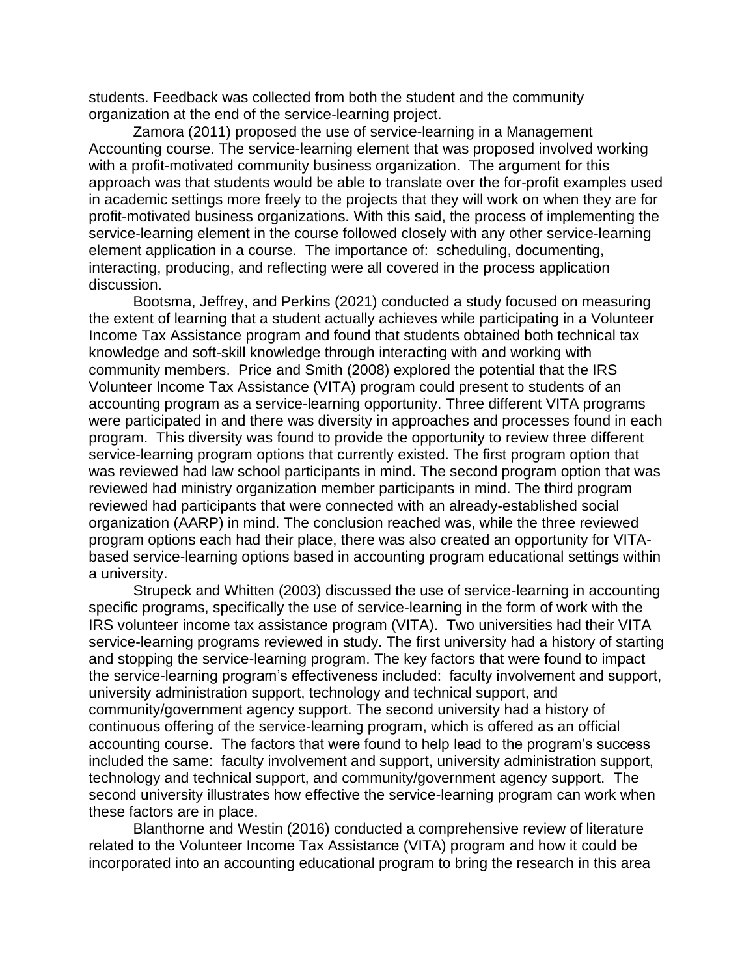students. Feedback was collected from both the student and the community organization at the end of the service-learning project.

Zamora (2011) proposed the use of service-learning in a Management Accounting course. The service-learning element that was proposed involved working with a profit-motivated community business organization. The argument for this approach was that students would be able to translate over the for-profit examples used in academic settings more freely to the projects that they will work on when they are for profit-motivated business organizations. With this said, the process of implementing the service-learning element in the course followed closely with any other service-learning element application in a course. The importance of: scheduling, documenting, interacting, producing, and reflecting were all covered in the process application discussion.

Bootsma, Jeffrey, and Perkins (2021) conducted a study focused on measuring the extent of learning that a student actually achieves while participating in a Volunteer Income Tax Assistance program and found that students obtained both technical tax knowledge and soft-skill knowledge through interacting with and working with community members. Price and Smith (2008) explored the potential that the IRS Volunteer Income Tax Assistance (VITA) program could present to students of an accounting program as a service-learning opportunity. Three different VITA programs were participated in and there was diversity in approaches and processes found in each program. This diversity was found to provide the opportunity to review three different service-learning program options that currently existed. The first program option that was reviewed had law school participants in mind. The second program option that was reviewed had ministry organization member participants in mind. The third program reviewed had participants that were connected with an already-established social organization (AARP) in mind. The conclusion reached was, while the three reviewed program options each had their place, there was also created an opportunity for VITAbased service-learning options based in accounting program educational settings within a university.

Strupeck and Whitten (2003) discussed the use of service-learning in accounting specific programs, specifically the use of service-learning in the form of work with the IRS volunteer income tax assistance program (VITA). Two universities had their VITA service-learning programs reviewed in study. The first university had a history of starting and stopping the service-learning program. The key factors that were found to impact the service-learning program's effectiveness included: faculty involvement and support, university administration support, technology and technical support, and community/government agency support. The second university had a history of continuous offering of the service-learning program, which is offered as an official accounting course. The factors that were found to help lead to the program's success included the same: faculty involvement and support, university administration support, technology and technical support, and community/government agency support. The second university illustrates how effective the service-learning program can work when these factors are in place.

Blanthorne and Westin (2016) conducted a comprehensive review of literature related to the Volunteer Income Tax Assistance (VITA) program and how it could be incorporated into an accounting educational program to bring the research in this area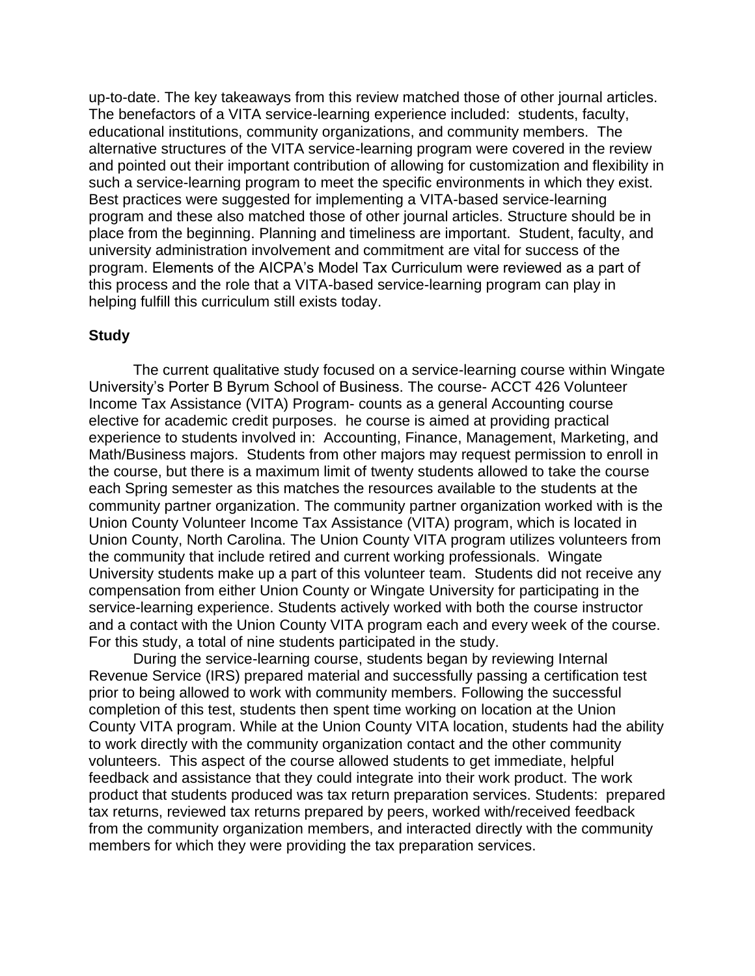up-to-date. The key takeaways from this review matched those of other journal articles. The benefactors of a VITA service-learning experience included: students, faculty, educational institutions, community organizations, and community members. The alternative structures of the VITA service-learning program were covered in the review and pointed out their important contribution of allowing for customization and flexibility in such a service-learning program to meet the specific environments in which they exist. Best practices were suggested for implementing a VITA-based service-learning program and these also matched those of other journal articles. Structure should be in place from the beginning. Planning and timeliness are important. Student, faculty, and university administration involvement and commitment are vital for success of the program. Elements of the AICPA's Model Tax Curriculum were reviewed as a part of this process and the role that a VITA-based service-learning program can play in helping fulfill this curriculum still exists today.

#### **Study**

The current qualitative study focused on a service-learning course within Wingate University's Porter B Byrum School of Business. The course- ACCT 426 Volunteer Income Tax Assistance (VITA) Program- counts as a general Accounting course elective for academic credit purposes. he course is aimed at providing practical experience to students involved in: Accounting, Finance, Management, Marketing, and Math/Business majors. Students from other majors may request permission to enroll in the course, but there is a maximum limit of twenty students allowed to take the course each Spring semester as this matches the resources available to the students at the community partner organization. The community partner organization worked with is the Union County Volunteer Income Tax Assistance (VITA) program, which is located in Union County, North Carolina. The Union County VITA program utilizes volunteers from the community that include retired and current working professionals. Wingate University students make up a part of this volunteer team. Students did not receive any compensation from either Union County or Wingate University for participating in the service-learning experience. Students actively worked with both the course instructor and a contact with the Union County VITA program each and every week of the course. For this study, a total of nine students participated in the study.

During the service-learning course, students began by reviewing Internal Revenue Service (IRS) prepared material and successfully passing a certification test prior to being allowed to work with community members. Following the successful completion of this test, students then spent time working on location at the Union County VITA program. While at the Union County VITA location, students had the ability to work directly with the community organization contact and the other community volunteers. This aspect of the course allowed students to get immediate, helpful feedback and assistance that they could integrate into their work product. The work product that students produced was tax return preparation services. Students: prepared tax returns, reviewed tax returns prepared by peers, worked with/received feedback from the community organization members, and interacted directly with the community members for which they were providing the tax preparation services.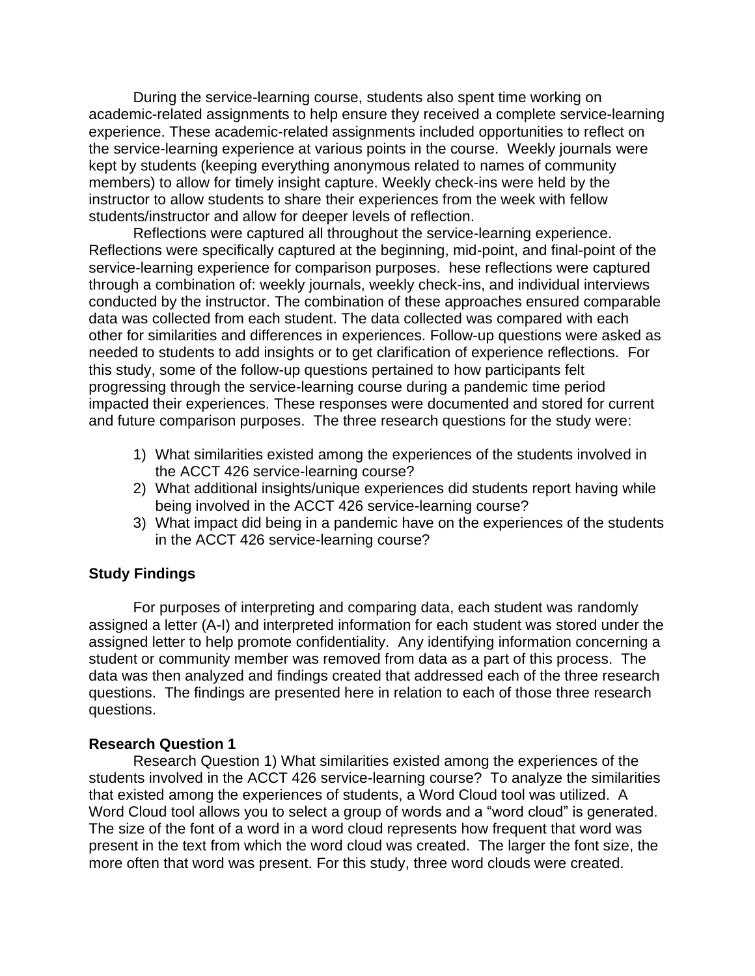During the service-learning course, students also spent time working on academic-related assignments to help ensure they received a complete service-learning experience. These academic-related assignments included opportunities to reflect on the service-learning experience at various points in the course. Weekly journals were kept by students (keeping everything anonymous related to names of community members) to allow for timely insight capture. Weekly check-ins were held by the instructor to allow students to share their experiences from the week with fellow students/instructor and allow for deeper levels of reflection.

Reflections were captured all throughout the service-learning experience. Reflections were specifically captured at the beginning, mid-point, and final-point of the service-learning experience for comparison purposes. hese reflections were captured through a combination of: weekly journals, weekly check-ins, and individual interviews conducted by the instructor. The combination of these approaches ensured comparable data was collected from each student. The data collected was compared with each other for similarities and differences in experiences. Follow-up questions were asked as needed to students to add insights or to get clarification of experience reflections. For this study, some of the follow-up questions pertained to how participants felt progressing through the service-learning course during a pandemic time period impacted their experiences. These responses were documented and stored for current and future comparison purposes. The three research questions for the study were:

- 1) What similarities existed among the experiences of the students involved in the ACCT 426 service-learning course?
- 2) What additional insights/unique experiences did students report having while being involved in the ACCT 426 service-learning course?
- 3) What impact did being in a pandemic have on the experiences of the students in the ACCT 426 service-learning course?

# **Study Findings**

For purposes of interpreting and comparing data, each student was randomly assigned a letter (A-I) and interpreted information for each student was stored under the assigned letter to help promote confidentiality. Any identifying information concerning a student or community member was removed from data as a part of this process. The data was then analyzed and findings created that addressed each of the three research questions. The findings are presented here in relation to each of those three research questions.

#### **Research Question 1**

Research Question 1) What similarities existed among the experiences of the students involved in the ACCT 426 service-learning course? To analyze the similarities that existed among the experiences of students, a Word Cloud tool was utilized. A Word Cloud tool allows you to select a group of words and a "word cloud" is generated. The size of the font of a word in a word cloud represents how frequent that word was present in the text from which the word cloud was created. The larger the font size, the more often that word was present. For this study, three word clouds were created.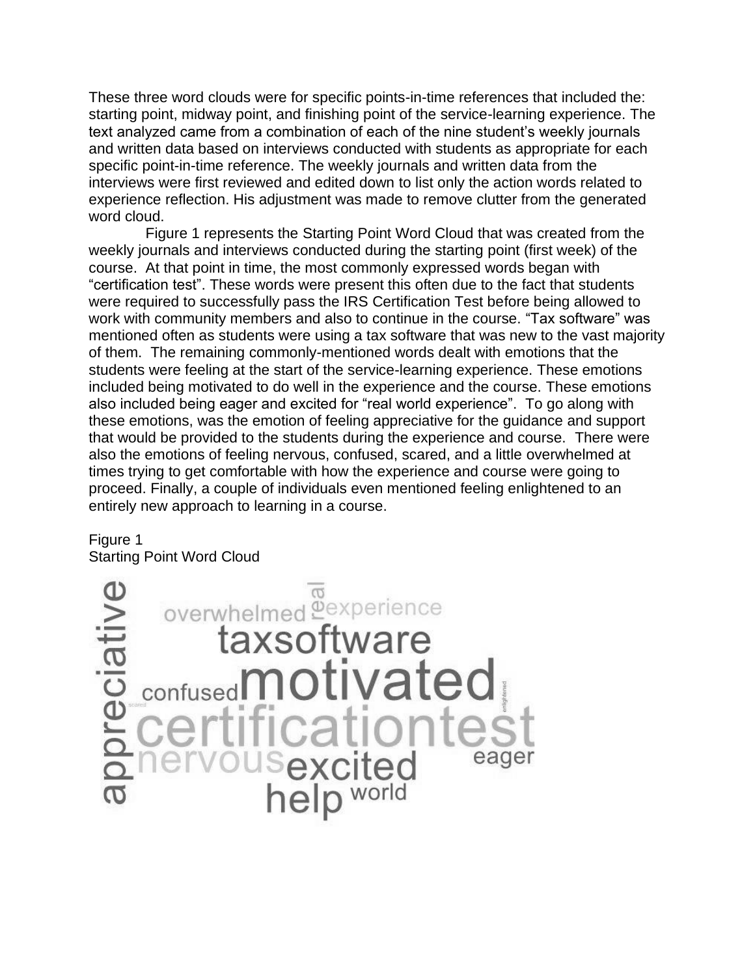These three word clouds were for specific points-in-time references that included the: starting point, midway point, and finishing point of the service-learning experience. The text analyzed came from a combination of each of the nine student's weekly journals and written data based on interviews conducted with students as appropriate for each specific point-in-time reference. The weekly journals and written data from the interviews were first reviewed and edited down to list only the action words related to experience reflection. His adjustment was made to remove clutter from the generated word cloud.

 Figure 1 represents the Starting Point Word Cloud that was created from the weekly journals and interviews conducted during the starting point (first week) of the course. At that point in time, the most commonly expressed words began with "certification test". These words were present this often due to the fact that students were required to successfully pass the IRS Certification Test before being allowed to work with community members and also to continue in the course. "Tax software" was mentioned often as students were using a tax software that was new to the vast majority of them. The remaining commonly-mentioned words dealt with emotions that the students were feeling at the start of the service-learning experience. These emotions included being motivated to do well in the experience and the course. These emotions also included being eager and excited for "real world experience". To go along with these emotions, was the emotion of feeling appreciative for the guidance and support that would be provided to the students during the experience and course. There were also the emotions of feeling nervous, confused, scared, and a little overwhelmed at times trying to get comfortable with how the experience and course were going to proceed. Finally, a couple of individuals even mentioned feeling enlightened to an entirely new approach to learning in a course.

#### Figure 1 Starting Point Word Cloud

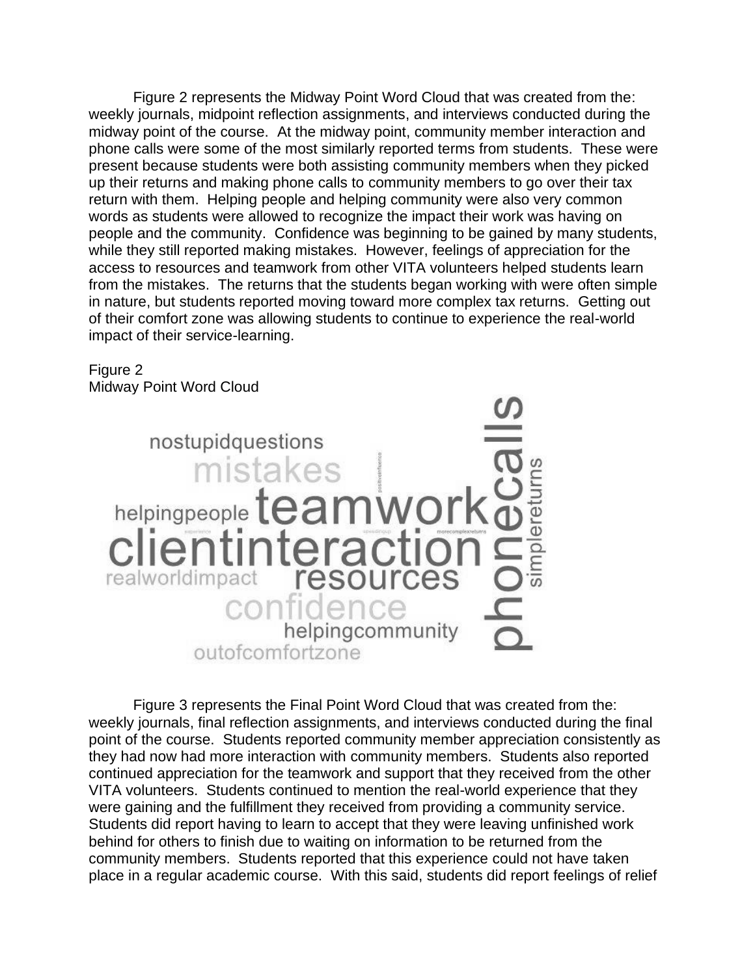Figure 2 represents the Midway Point Word Cloud that was created from the: weekly journals, midpoint reflection assignments, and interviews conducted during the midway point of the course. At the midway point, community member interaction and phone calls were some of the most similarly reported terms from students. These were present because students were both assisting community members when they picked up their returns and making phone calls to community members to go over their tax return with them. Helping people and helping community were also very common words as students were allowed to recognize the impact their work was having on people and the community. Confidence was beginning to be gained by many students, while they still reported making mistakes. However, feelings of appreciation for the access to resources and teamwork from other VITA volunteers helped students learn from the mistakes. The returns that the students began working with were often simple in nature, but students reported moving toward more complex tax returns. Getting out of their comfort zone was allowing students to continue to experience the real-world impact of their service-learning.

#### Figure 2 Midway Point Word Cloud



Figure 3 represents the Final Point Word Cloud that was created from the: weekly journals, final reflection assignments, and interviews conducted during the final point of the course. Students reported community member appreciation consistently as they had now had more interaction with community members. Students also reported continued appreciation for the teamwork and support that they received from the other VITA volunteers. Students continued to mention the real-world experience that they were gaining and the fulfillment they received from providing a community service. Students did report having to learn to accept that they were leaving unfinished work behind for others to finish due to waiting on information to be returned from the community members. Students reported that this experience could not have taken place in a regular academic course. With this said, students did report feelings of relief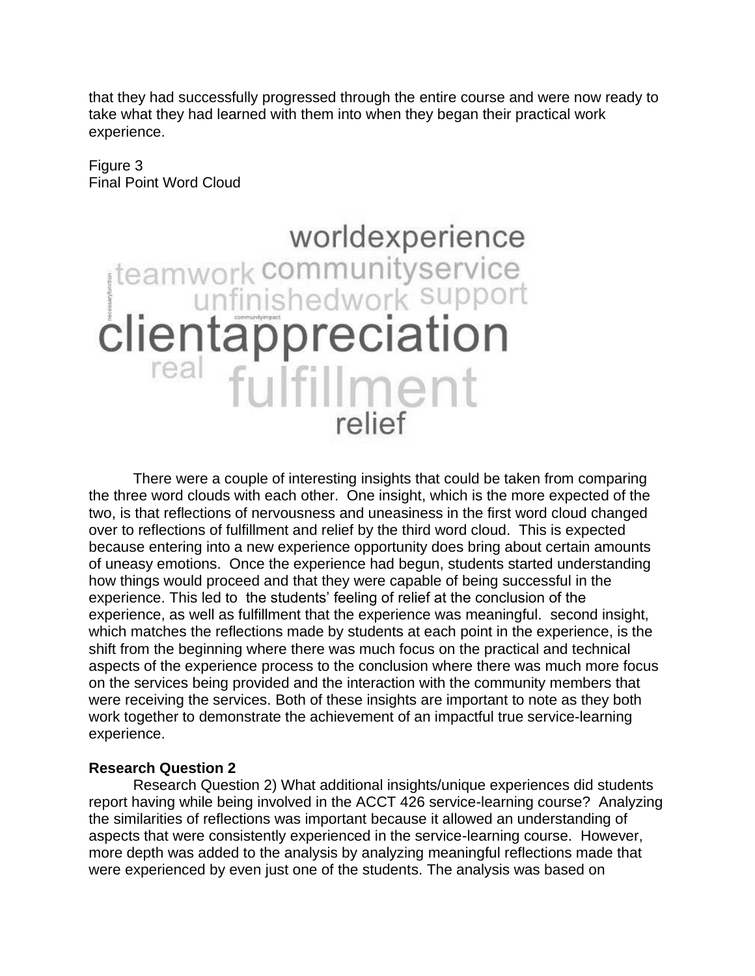that they had successfully progressed through the entire course and were now ready to take what they had learned with them into when they began their practical work experience.

Figure 3 Final Point Word Cloud

# worldexperience teamwork communityservice real fulfillment relief

There were a couple of interesting insights that could be taken from comparing the three word clouds with each other. One insight, which is the more expected of the two, is that reflections of nervousness and uneasiness in the first word cloud changed over to reflections of fulfillment and relief by the third word cloud. This is expected because entering into a new experience opportunity does bring about certain amounts of uneasy emotions. Once the experience had begun, students started understanding how things would proceed and that they were capable of being successful in the experience. This led to the students' feeling of relief at the conclusion of the experience, as well as fulfillment that the experience was meaningful. second insight, which matches the reflections made by students at each point in the experience, is the shift from the beginning where there was much focus on the practical and technical aspects of the experience process to the conclusion where there was much more focus on the services being provided and the interaction with the community members that were receiving the services. Both of these insights are important to note as they both work together to demonstrate the achievement of an impactful true service-learning experience.

# **Research Question 2**

Research Question 2) What additional insights/unique experiences did students report having while being involved in the ACCT 426 service-learning course? Analyzing the similarities of reflections was important because it allowed an understanding of aspects that were consistently experienced in the service-learning course. However, more depth was added to the analysis by analyzing meaningful reflections made that were experienced by even just one of the students. The analysis was based on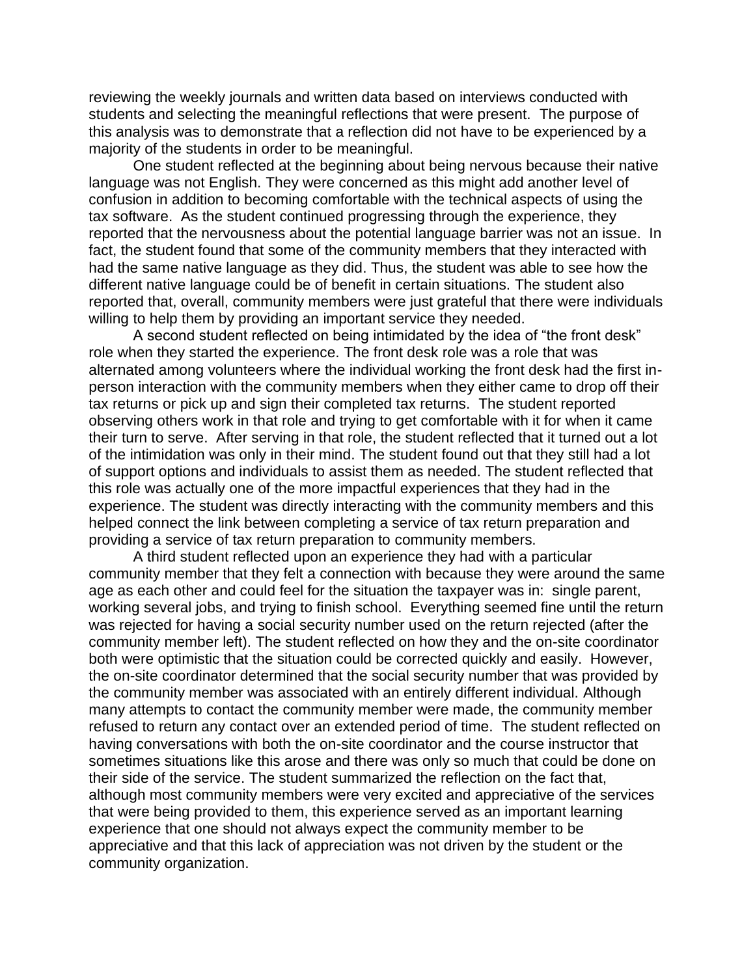reviewing the weekly journals and written data based on interviews conducted with students and selecting the meaningful reflections that were present. The purpose of this analysis was to demonstrate that a reflection did not have to be experienced by a majority of the students in order to be meaningful.

One student reflected at the beginning about being nervous because their native language was not English. They were concerned as this might add another level of confusion in addition to becoming comfortable with the technical aspects of using the tax software. As the student continued progressing through the experience, they reported that the nervousness about the potential language barrier was not an issue. In fact, the student found that some of the community members that they interacted with had the same native language as they did. Thus, the student was able to see how the different native language could be of benefit in certain situations. The student also reported that, overall, community members were just grateful that there were individuals willing to help them by providing an important service they needed.

A second student reflected on being intimidated by the idea of "the front desk" role when they started the experience. The front desk role was a role that was alternated among volunteers where the individual working the front desk had the first inperson interaction with the community members when they either came to drop off their tax returns or pick up and sign their completed tax returns. The student reported observing others work in that role and trying to get comfortable with it for when it came their turn to serve. After serving in that role, the student reflected that it turned out a lot of the intimidation was only in their mind. The student found out that they still had a lot of support options and individuals to assist them as needed. The student reflected that this role was actually one of the more impactful experiences that they had in the experience. The student was directly interacting with the community members and this helped connect the link between completing a service of tax return preparation and providing a service of tax return preparation to community members.

A third student reflected upon an experience they had with a particular community member that they felt a connection with because they were around the same age as each other and could feel for the situation the taxpayer was in: single parent, working several jobs, and trying to finish school. Everything seemed fine until the return was rejected for having a social security number used on the return rejected (after the community member left). The student reflected on how they and the on-site coordinator both were optimistic that the situation could be corrected quickly and easily. However, the on-site coordinator determined that the social security number that was provided by the community member was associated with an entirely different individual. Although many attempts to contact the community member were made, the community member refused to return any contact over an extended period of time. The student reflected on having conversations with both the on-site coordinator and the course instructor that sometimes situations like this arose and there was only so much that could be done on their side of the service. The student summarized the reflection on the fact that, although most community members were very excited and appreciative of the services that were being provided to them, this experience served as an important learning experience that one should not always expect the community member to be appreciative and that this lack of appreciation was not driven by the student or the community organization.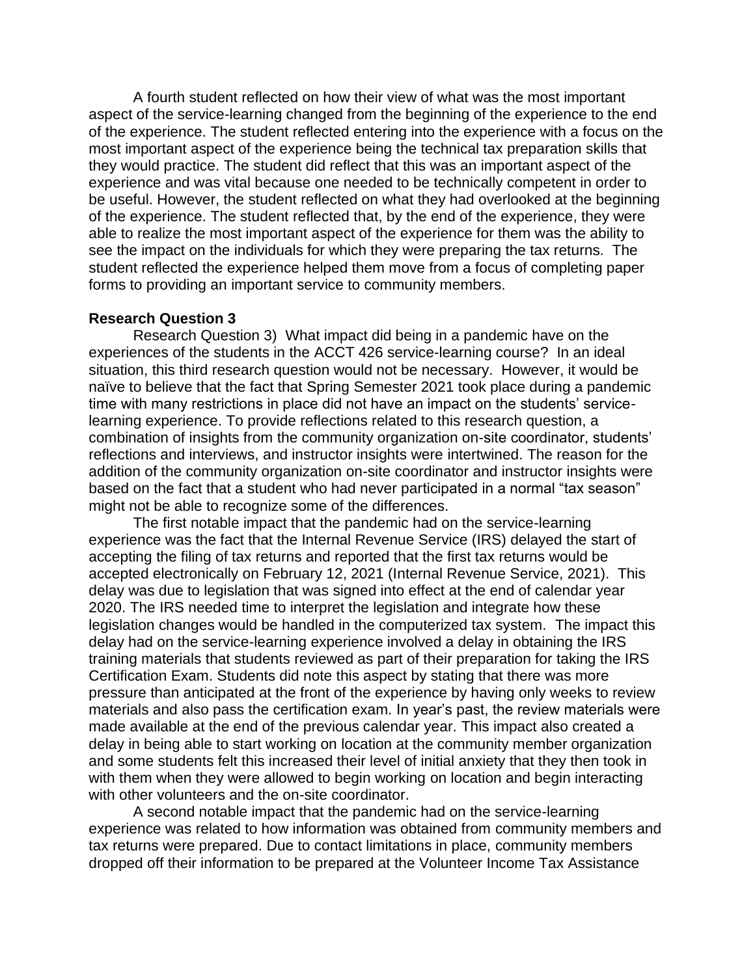A fourth student reflected on how their view of what was the most important aspect of the service-learning changed from the beginning of the experience to the end of the experience. The student reflected entering into the experience with a focus on the most important aspect of the experience being the technical tax preparation skills that they would practice. The student did reflect that this was an important aspect of the experience and was vital because one needed to be technically competent in order to be useful. However, the student reflected on what they had overlooked at the beginning of the experience. The student reflected that, by the end of the experience, they were able to realize the most important aspect of the experience for them was the ability to see the impact on the individuals for which they were preparing the tax returns. The student reflected the experience helped them move from a focus of completing paper forms to providing an important service to community members.

# **Research Question 3**

Research Question 3) What impact did being in a pandemic have on the experiences of the students in the ACCT 426 service-learning course? In an ideal situation, this third research question would not be necessary. However, it would be naïve to believe that the fact that Spring Semester 2021 took place during a pandemic time with many restrictions in place did not have an impact on the students' servicelearning experience. To provide reflections related to this research question, a combination of insights from the community organization on-site coordinator, students' reflections and interviews, and instructor insights were intertwined. The reason for the addition of the community organization on-site coordinator and instructor insights were based on the fact that a student who had never participated in a normal "tax season" might not be able to recognize some of the differences.

The first notable impact that the pandemic had on the service-learning experience was the fact that the Internal Revenue Service (IRS) delayed the start of accepting the filing of tax returns and reported that the first tax returns would be accepted electronically on February 12, 2021 (Internal Revenue Service, 2021). This delay was due to legislation that was signed into effect at the end of calendar year 2020. The IRS needed time to interpret the legislation and integrate how these legislation changes would be handled in the computerized tax system. The impact this delay had on the service-learning experience involved a delay in obtaining the IRS training materials that students reviewed as part of their preparation for taking the IRS Certification Exam. Students did note this aspect by stating that there was more pressure than anticipated at the front of the experience by having only weeks to review materials and also pass the certification exam. In year's past, the review materials were made available at the end of the previous calendar year. This impact also created a delay in being able to start working on location at the community member organization and some students felt this increased their level of initial anxiety that they then took in with them when they were allowed to begin working on location and begin interacting with other volunteers and the on-site coordinator.

A second notable impact that the pandemic had on the service-learning experience was related to how information was obtained from community members and tax returns were prepared. Due to contact limitations in place, community members dropped off their information to be prepared at the Volunteer Income Tax Assistance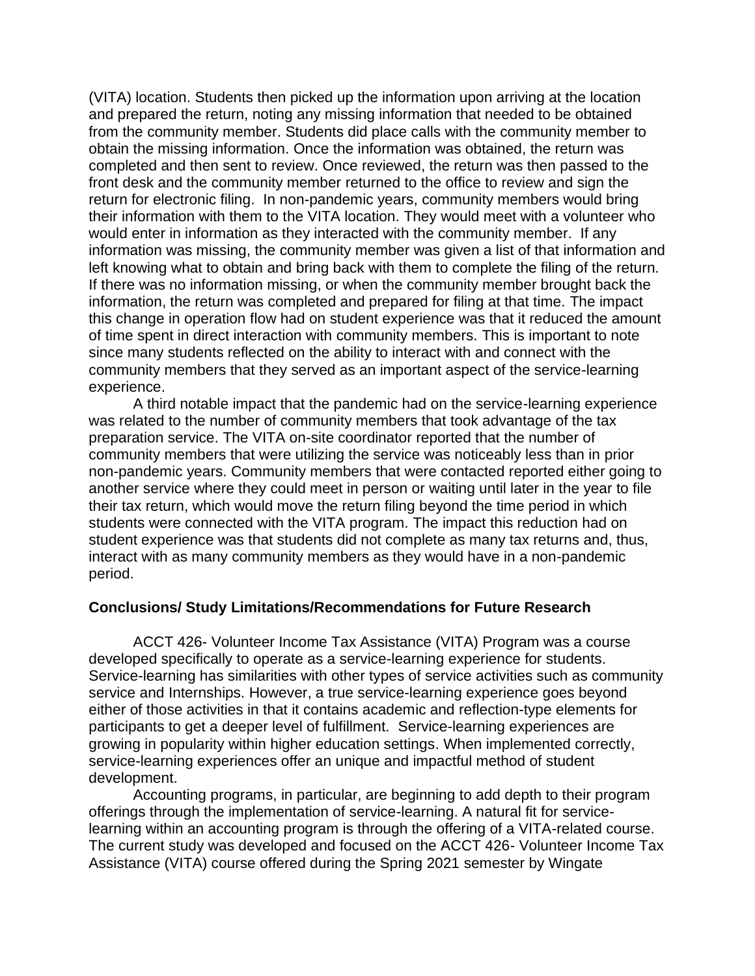(VITA) location. Students then picked up the information upon arriving at the location and prepared the return, noting any missing information that needed to be obtained from the community member. Students did place calls with the community member to obtain the missing information. Once the information was obtained, the return was completed and then sent to review. Once reviewed, the return was then passed to the front desk and the community member returned to the office to review and sign the return for electronic filing. In non-pandemic years, community members would bring their information with them to the VITA location. They would meet with a volunteer who would enter in information as they interacted with the community member. If any information was missing, the community member was given a list of that information and left knowing what to obtain and bring back with them to complete the filing of the return. If there was no information missing, or when the community member brought back the information, the return was completed and prepared for filing at that time. The impact this change in operation flow had on student experience was that it reduced the amount of time spent in direct interaction with community members. This is important to note since many students reflected on the ability to interact with and connect with the community members that they served as an important aspect of the service-learning experience.

A third notable impact that the pandemic had on the service-learning experience was related to the number of community members that took advantage of the tax preparation service. The VITA on-site coordinator reported that the number of community members that were utilizing the service was noticeably less than in prior non-pandemic years. Community members that were contacted reported either going to another service where they could meet in person or waiting until later in the year to file their tax return, which would move the return filing beyond the time period in which students were connected with the VITA program. The impact this reduction had on student experience was that students did not complete as many tax returns and, thus, interact with as many community members as they would have in a non-pandemic period.

#### **Conclusions/ Study Limitations/Recommendations for Future Research**

ACCT 426- Volunteer Income Tax Assistance (VITA) Program was a course developed specifically to operate as a service-learning experience for students. Service-learning has similarities with other types of service activities such as community service and Internships. However, a true service-learning experience goes beyond either of those activities in that it contains academic and reflection-type elements for participants to get a deeper level of fulfillment. Service-learning experiences are growing in popularity within higher education settings. When implemented correctly, service-learning experiences offer an unique and impactful method of student development.

Accounting programs, in particular, are beginning to add depth to their program offerings through the implementation of service-learning. A natural fit for servicelearning within an accounting program is through the offering of a VITA-related course. The current study was developed and focused on the ACCT 426- Volunteer Income Tax Assistance (VITA) course offered during the Spring 2021 semester by Wingate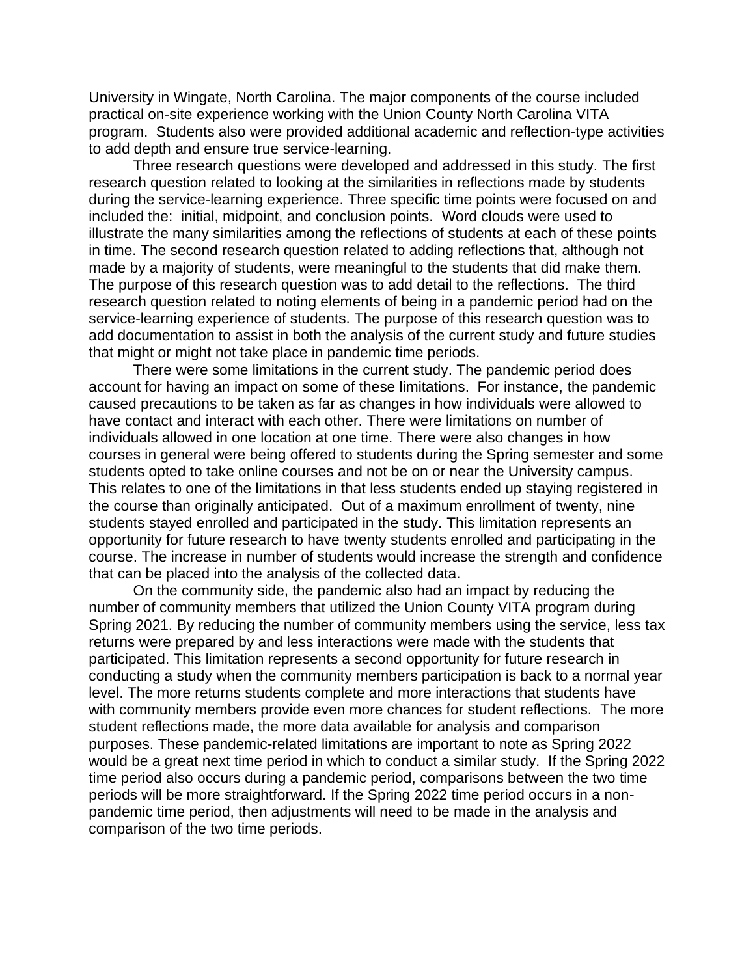University in Wingate, North Carolina. The major components of the course included practical on-site experience working with the Union County North Carolina VITA program. Students also were provided additional academic and reflection-type activities to add depth and ensure true service-learning.

Three research questions were developed and addressed in this study. The first research question related to looking at the similarities in reflections made by students during the service-learning experience. Three specific time points were focused on and included the: initial, midpoint, and conclusion points. Word clouds were used to illustrate the many similarities among the reflections of students at each of these points in time. The second research question related to adding reflections that, although not made by a majority of students, were meaningful to the students that did make them. The purpose of this research question was to add detail to the reflections. The third research question related to noting elements of being in a pandemic period had on the service-learning experience of students. The purpose of this research question was to add documentation to assist in both the analysis of the current study and future studies that might or might not take place in pandemic time periods.

There were some limitations in the current study. The pandemic period does account for having an impact on some of these limitations. For instance, the pandemic caused precautions to be taken as far as changes in how individuals were allowed to have contact and interact with each other. There were limitations on number of individuals allowed in one location at one time. There were also changes in how courses in general were being offered to students during the Spring semester and some students opted to take online courses and not be on or near the University campus. This relates to one of the limitations in that less students ended up staying registered in the course than originally anticipated. Out of a maximum enrollment of twenty, nine students stayed enrolled and participated in the study. This limitation represents an opportunity for future research to have twenty students enrolled and participating in the course. The increase in number of students would increase the strength and confidence that can be placed into the analysis of the collected data.

On the community side, the pandemic also had an impact by reducing the number of community members that utilized the Union County VITA program during Spring 2021. By reducing the number of community members using the service, less tax returns were prepared by and less interactions were made with the students that participated. This limitation represents a second opportunity for future research in conducting a study when the community members participation is back to a normal year level. The more returns students complete and more interactions that students have with community members provide even more chances for student reflections. The more student reflections made, the more data available for analysis and comparison purposes. These pandemic-related limitations are important to note as Spring 2022 would be a great next time period in which to conduct a similar study. If the Spring 2022 time period also occurs during a pandemic period, comparisons between the two time periods will be more straightforward. If the Spring 2022 time period occurs in a nonpandemic time period, then adjustments will need to be made in the analysis and comparison of the two time periods.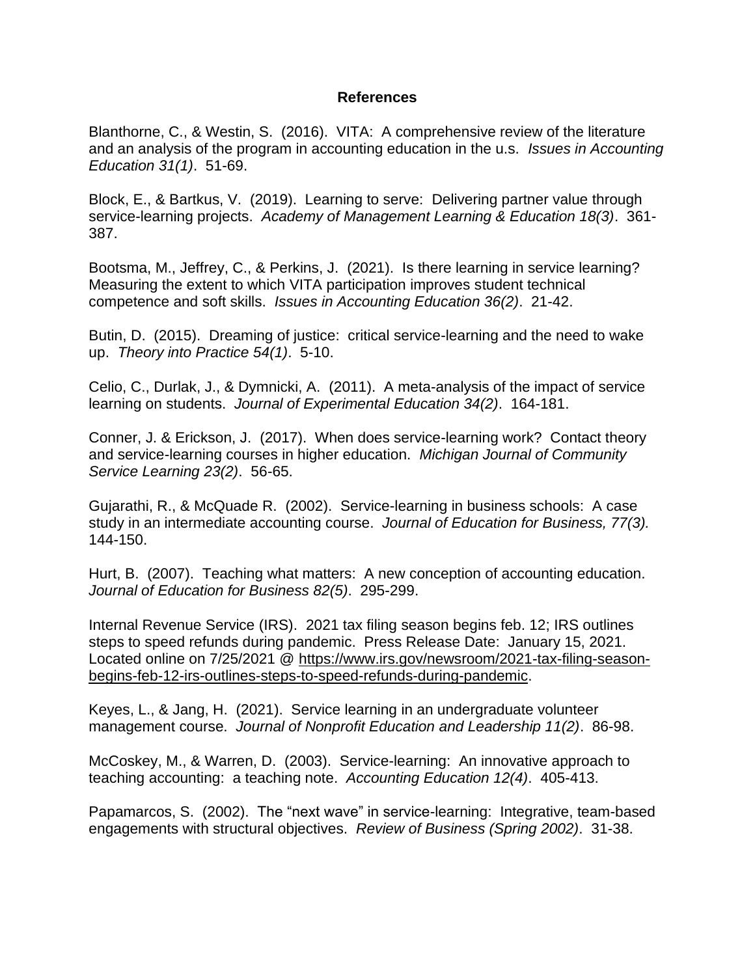#### **References**

Blanthorne, C., & Westin, S. (2016). VITA: A comprehensive review of the literature and an analysis of the program in accounting education in the u.s. *Issues in Accounting Education 31(1)*. 51-69.

Block, E., & Bartkus, V. (2019). Learning to serve: Delivering partner value through service-learning projects. *Academy of Management Learning & Education 18(3)*. 361- 387.

Bootsma, M., Jeffrey, C., & Perkins, J. (2021). Is there learning in service learning? Measuring the extent to which VITA participation improves student technical competence and soft skills. *Issues in Accounting Education 36(2)*. 21-42.

Butin, D. (2015). Dreaming of justice: critical service-learning and the need to wake up. *Theory into Practice 54(1)*. 5-10.

Celio, C., Durlak, J., & Dymnicki, A. (2011). A meta-analysis of the impact of service learning on students. *Journal of Experimental Education 34(2)*. 164-181.

Conner, J. & Erickson, J. (2017). When does service-learning work? Contact theory and service-learning courses in higher education. *Michigan Journal of Community Service Learning 23(2)*. 56-65.

Gujarathi, R., & McQuade R. (2002). Service-learning in business schools: A case study in an intermediate accounting course. *Journal of Education for Business, 77(3).*  144-150.

Hurt, B. (2007). Teaching what matters: A new conception of accounting education. *Journal of Education for Business 82(5)*. 295-299.

Internal Revenue Service (IRS). 2021 tax filing season begins feb. 12; IRS outlines steps to speed refunds during pandemic. Press Release Date: January 15, 2021. Located online on 7/25/2021 @ [https://www.irs.gov/newsroom/2021-tax-filing-season](https://www.irs.gov/newsroom/2021-tax-filing-season-begins-feb-12-irs-outlines-steps-to-speed-refunds-during-pandemic)[begins-feb-12-irs-outlines-steps-to-speed-refunds-during-pandemic.](https://www.irs.gov/newsroom/2021-tax-filing-season-begins-feb-12-irs-outlines-steps-to-speed-refunds-during-pandemic)

Keyes, L., & Jang, H. (2021). Service learning in an undergraduate volunteer management course. *Journal of Nonprofit Education and Leadership 11(2)*. 86-98.

McCoskey, M., & Warren, D. (2003). Service-learning: An innovative approach to teaching accounting: a teaching note. *Accounting Education 12(4)*. 405-413.

Papamarcos, S. (2002). The "next wave" in service-learning: Integrative, team-based engagements with structural objectives. *Review of Business (Spring 2002)*. 31-38.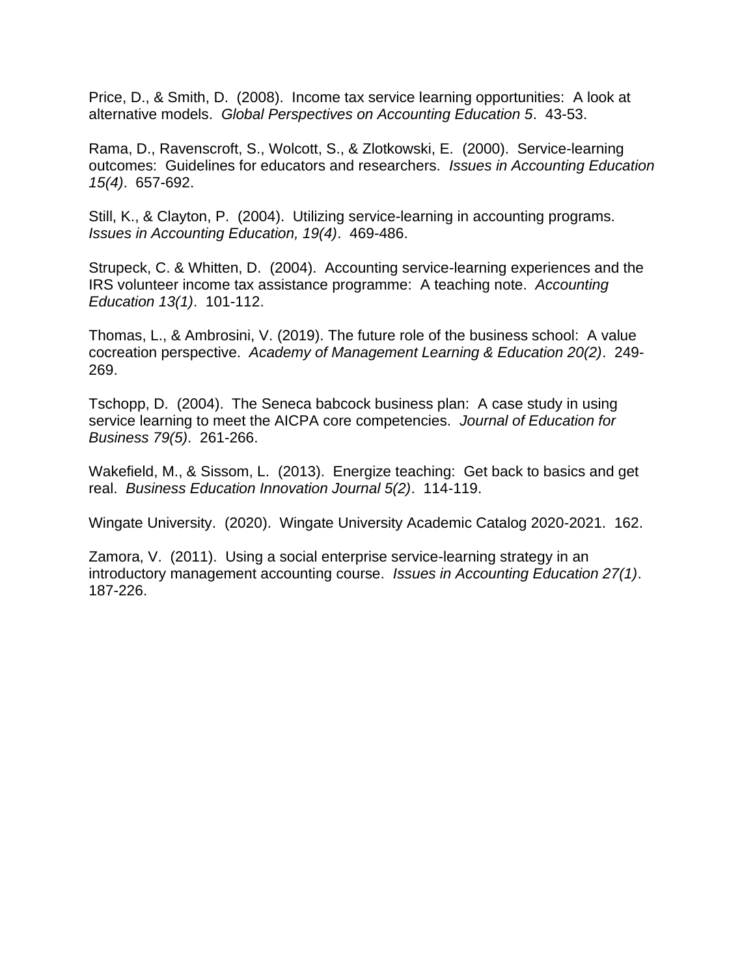Price, D., & Smith, D. (2008). Income tax service learning opportunities: A look at alternative models. *Global Perspectives on Accounting Education 5*. 43-53.

Rama, D., Ravenscroft, S., Wolcott, S., & Zlotkowski, E. (2000). Service-learning outcomes: Guidelines for educators and researchers. *Issues in Accounting Education 15(4)*. 657-692.

Still, K., & Clayton, P. (2004). Utilizing service-learning in accounting programs. *Issues in Accounting Education, 19(4)*. 469-486.

Strupeck, C. & Whitten, D. (2004). Accounting service-learning experiences and the IRS volunteer income tax assistance programme: A teaching note. *Accounting Education 13(1)*. 101-112.

Thomas, L., & Ambrosini, V. (2019). The future role of the business school: A value cocreation perspective. *Academy of Management Learning & Education 20(2)*. 249- 269.

Tschopp, D. (2004). The Seneca babcock business plan: A case study in using service learning to meet the AICPA core competencies. *Journal of Education for Business 79(5)*. 261-266.

Wakefield, M., & Sissom, L. (2013). Energize teaching: Get back to basics and get real. *Business Education Innovation Journal 5(2)*. 114-119.

Wingate University. (2020). Wingate University Academic Catalog 2020-2021. 162.

Zamora, V. (2011). Using a social enterprise service-learning strategy in an introductory management accounting course. *Issues in Accounting Education 27(1)*. 187-226.